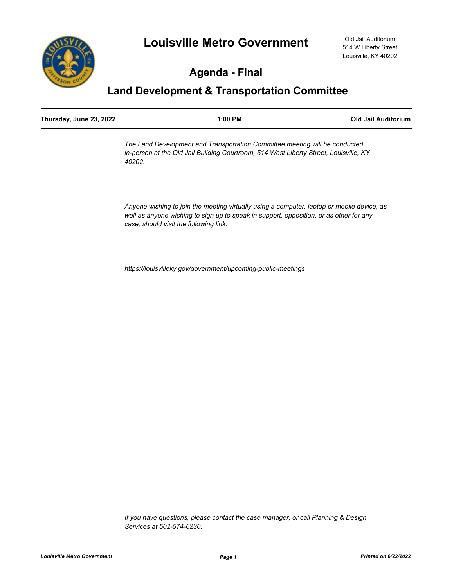

# **Agenda - Final**

# **Land Development & Transportation Committee**

| Thursday, June 23, 2022 | $1:00$ PM | Old Jail Auditorium |
|-------------------------|-----------|---------------------|
|                         |           |                     |

*The Land Development and Transportation Committee meeting will be conducted in-person at the Old Jail Building Courtroom, 514 West Liberty Street, Louisville, KY 40202.* 

*Anyone wishing to join the meeting virtually using a computer, laptop or mobile device, as well as anyone wishing to sign up to speak in support, opposition, or as other for any case, should visit the following link:*

*https://louisvilleky.gov/government/upcoming-public-meetings*

*If you have questions, please contact the case manager, or call Planning & Design Services at 502-574-6230.*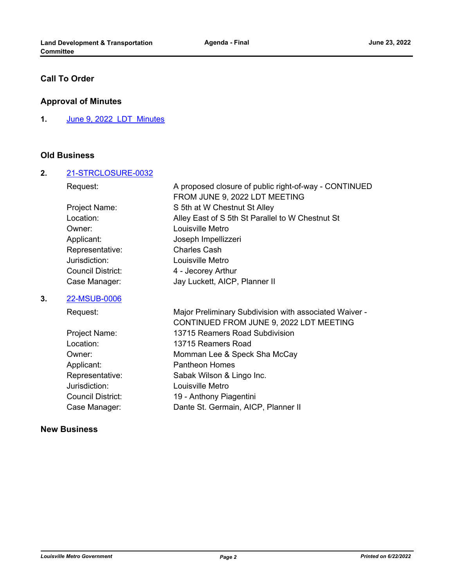# **Call To Order**

## **Approval of Minutes**

**1.** [June 9, 2022\\_LDT\\_Minutes](http://louisville.legistar.com/gateway.aspx?m=l&id=/matter.aspx?key=60846)

### **Old Business**

#### **2.** [21-STRCLOSURE-0032](http://louisville.legistar.com/gateway.aspx?m=l&id=/matter.aspx?key=60166)

| Request:                 | A proposed closure of public right-of-way - CONTINUED |
|--------------------------|-------------------------------------------------------|
|                          | FROM JUNE 9, 2022 LDT MEETING                         |
| Project Name:            | S 5th at W Chestnut St Alley                          |
| Location:                | Alley East of S 5th St Parallel to W Chestnut St      |
| Owner:                   | Louisville Metro                                      |
| Applicant:               | Joseph Impellizzeri                                   |
| Representative:          | <b>Charles Cash</b>                                   |
| Jurisdiction:            | Louisville Metro                                      |
| <b>Council District:</b> | 4 - Jecorey Arthur                                    |
| Case Manager:            | Jay Luckett, AICP, Planner II                         |
|                          |                                                       |

## **3.** [22-MSUB-0006](http://louisville.legistar.com/gateway.aspx?m=l&id=/matter.aspx?key=60527)

| Request:                 | Major Preliminary Subdivision with associated Waiver - |
|--------------------------|--------------------------------------------------------|
|                          | CONTINUED FROM JUNE 9, 2022 LDT MEETING                |
| Project Name:            | 13715 Reamers Road Subdivision                         |
| Location:                | 13715 Reamers Road                                     |
| Owner:                   | Momman Lee & Speck Sha McCay                           |
| Applicant:               | <b>Pantheon Homes</b>                                  |
| Representative:          | Sabak Wilson & Lingo Inc.                              |
| Jurisdiction:            | Louisville Metro                                       |
| <b>Council District:</b> | 19 - Anthony Piagentini                                |
| Case Manager:            | Dante St. Germain, AICP, Planner II                    |
|                          |                                                        |

## **New Business**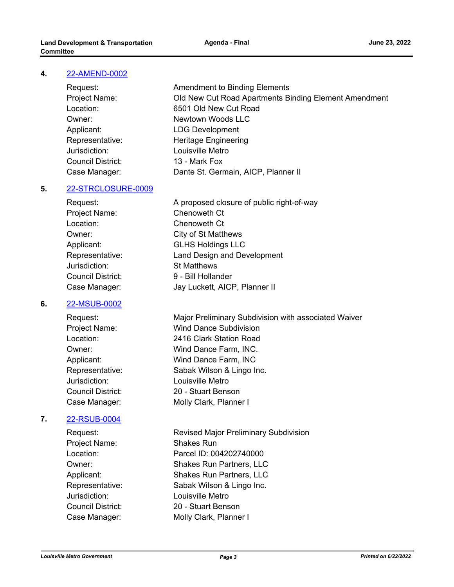#### **4.** [22-AMEND-0002](http://louisville.legistar.com/gateway.aspx?m=l&id=/matter.aspx?key=60800)

Jurisdiction: Louisville Metro Council District: 13 - Mark Fox

Request: **Amendment to Binding Elements** Project Name: Old New Cut Road Apartments Binding Element Amendment Location: 6501 Old New Cut Road Owner: Newtown Woods LLC Applicant: LDG Development Representative: Heritage Engineering Case Manager: Dante St. Germain, AICP, Planner II

#### **5.** [22-STRCLOSURE-0009](http://louisville.legistar.com/gateway.aspx?m=l&id=/matter.aspx?key=60801)

Request: A proposed closure of public right-of-way Project Name: Chenoweth Ct Location: Chenoweth Ct Owner: City of St Matthews Applicant: GLHS Holdings LLC Representative: Land Design and Development Jurisdiction: St Matthews Council District: 9 - Bill Hollander Case Manager: Jay Luckett, AICP, Planner II

#### **6.** [22-MSUB-0002](http://louisville.legistar.com/gateway.aspx?m=l&id=/matter.aspx?key=60802)

Jurisdiction: Louisville Metro

#### **7.** [22-RSUB-0004](http://louisville.legistar.com/gateway.aspx?m=l&id=/matter.aspx?key=60821)

Project Name: Shakes Run Jurisdiction: Louisville Metro Council District: 20 - Stuart Benson Case Manager: Molly Clark, Planner I

Request: Major Preliminary Subdivision with associated Waiver Project Name: Wind Dance Subdivision Location: 2416 Clark Station Road Owner: Wind Dance Farm, INC. Applicant: Wind Dance Farm, INC Representative: Sabak Wilson & Lingo Inc. Council District: 20 - Stuart Benson Case Manager: Molly Clark, Planner I

Request: Revised Major Preliminary Subdivision Location: Parcel ID: 004202740000 Owner: Shakes Run Partners, LLC Applicant: Shakes Run Partners, LLC Representative: Sabak Wilson & Lingo Inc.